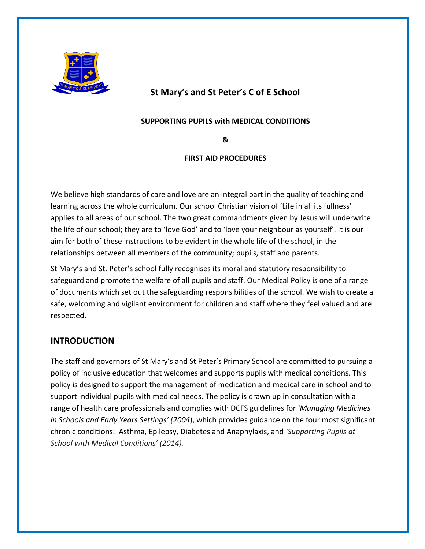

# **St Mary's and St Peter's C of E School**

#### **SUPPORTING PUPILS with MEDICAL CONDITIONS**

**&**

### **FIRST AID PROCEDURES**

We believe high standards of care and love are an integral part in the quality of teaching and learning across the whole curriculum. Our school Christian vision of 'Life in all its fullness' applies to all areas of our school. The two great commandments given by Jesus will underwrite the life of our school; they are to 'love God' and to 'love your neighbour as yourself'. It is our aim for both of these instructions to be evident in the whole life of the school, in the relationships between all members of the community; pupils, staff and parents.

St Mary's and St. Peter's school fully recognises its moral and statutory responsibility to safeguard and promote the welfare of all pupils and staff. Our Medical Policy is one of a range of documents which set out the safeguarding responsibilities of the school. We wish to create a safe, welcoming and vigilant environment for children and staff where they feel valued and are respected.

# **INTRODUCTION**

The staff and governors of St Mary's and St Peter's Primary School are committed to pursuing a policy of inclusive education that welcomes and supports pupils with medical conditions. This policy is designed to support the management of medication and medical care in school and to support individual pupils with medical needs. The policy is drawn up in consultation with a range of health care professionals and complies with DCFS guidelines for *'Managing Medicines in Schools and Early Years Settings' (2004*), which provides guidance on the four most significant chronic conditions: Asthma, Epilepsy, Diabetes and Anaphylaxis, and *'Supporting Pupils at School with Medical Conditions' (2014).*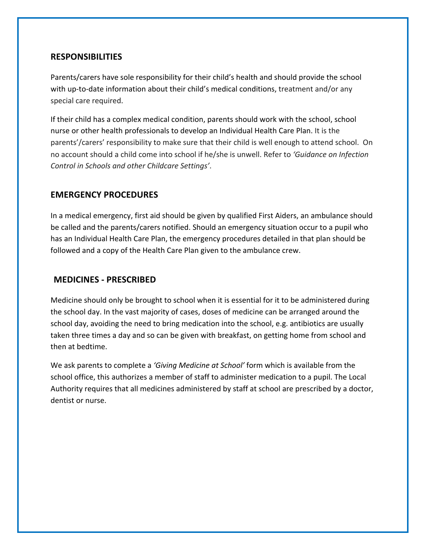### **RESPONSIBILITIES**

Parents/carers have sole responsibility for their child's health and should provide the school with up-to-date information about their child's medical conditions, treatment and/or any special care required.

If their child has a complex medical condition, parents should work with the school, school nurse or other health professionals to develop an Individual Health Care Plan. It is the parents'/carers' responsibility to make sure that their child is well enough to attend school. On no account should a child come into school if he/she is unwell. Refer to *'Guidance on Infection Control in Schools and other Childcare Settings'*.

### **EMERGENCY PROCEDURES**

In a medical emergency, first aid should be given by qualified First Aiders, an ambulance should be called and the parents/carers notified. Should an emergency situation occur to a pupil who has an Individual Health Care Plan, the emergency procedures detailed in that plan should be followed and a copy of the Health Care Plan given to the ambulance crew.

#### **MEDICINES - PRESCRIBED**

Medicine should only be brought to school when it is essential for it to be administered during the school day. In the vast majority of cases, doses of medicine can be arranged around the school day, avoiding the need to bring medication into the school, e.g. antibiotics are usually taken three times a day and so can be given with breakfast, on getting home from school and then at bedtime.

We ask parents to complete a *'Giving Medicine at School'* form which is available from the school office, this authorizes a member of staff to administer medication to a pupil. The Local Authority requires that all medicines administered by staff at school are prescribed by a doctor, dentist or nurse.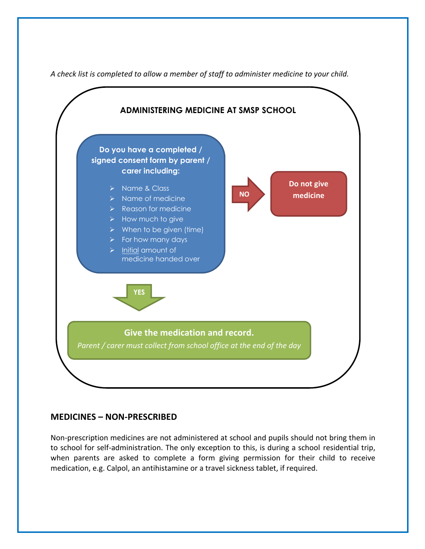

*A check list is completed to allow a member of staff to administer medicine to your child.* 

# **MEDICINES – NON-PRESCRIBED**

Non-prescription medicines are not administered at school and pupils should not bring them in to school for self-administration. The only exception to this, is during a school residential trip, when parents are asked to complete a form giving permission for their child to receive medication, e.g. Calpol, an antihistamine or a travel sickness tablet, if required.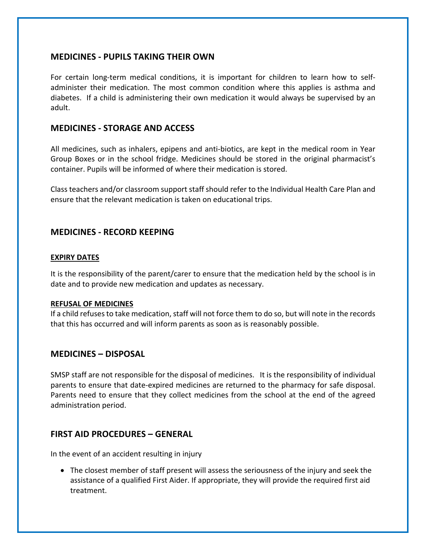### **MEDICINES - PUPILS TAKING THEIR OWN**

For certain long-term medical conditions, it is important for children to learn how to selfadminister their medication. The most common condition where this applies is asthma and diabetes. If a child is administering their own medication it would always be supervised by an adult.

#### **MEDICINES - STORAGE AND ACCESS**

All medicines, such as inhalers, epipens and anti-biotics, are kept in the medical room in Year Group Boxes or in the school fridge. Medicines should be stored in the original pharmacist's container. Pupils will be informed of where their medication is stored.

Class teachers and/or classroom support staff should refer to the Individual Health Care Plan and ensure that the relevant medication is taken on educational trips.

# **MEDICINES - RECORD KEEPING**

#### **EXPIRY DATES**

It is the responsibility of the parent/carer to ensure that the medication held by the school is in date and to provide new medication and updates as necessary.

#### **REFUSAL OF MEDICINES**

If a child refuses to take medication, staff will not force them to do so, but will note in the records that this has occurred and will inform parents as soon as is reasonably possible.

#### **MEDICINES – DISPOSAL**

SMSP staff are not responsible for the disposal of medicines. It is the responsibility of individual parents to ensure that date-expired medicines are returned to the pharmacy for safe disposal. Parents need to ensure that they collect medicines from the school at the end of the agreed administration period.

#### **FIRST AID PROCEDURES – GENERAL**

In the event of an accident resulting in injury

• The closest member of staff present will assess the seriousness of the injury and seek the assistance of a qualified First Aider. If appropriate, they will provide the required first aid treatment.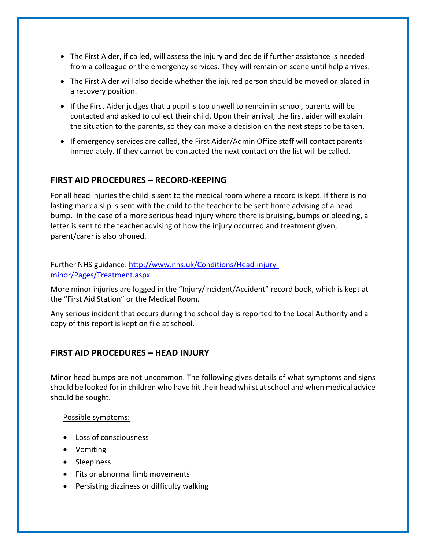- The First Aider, if called, will assess the injury and decide if further assistance is needed from a colleague or the emergency services. They will remain on scene until help arrives.
- The First Aider will also decide whether the injured person should be moved or placed in a recovery position.
- If the First Aider judges that a pupil is too unwell to remain in school, parents will be contacted and asked to collect their child. Upon their arrival, the first aider will explain the situation to the parents, so they can make a decision on the next steps to be taken.
- If emergency services are called, the First Aider/Admin Office staff will contact parents immediately. If they cannot be contacted the next contact on the list will be called.

### **FIRST AID PROCEDURES – RECORD-KEEPING**

For all head injuries the child is sent to the medical room where a record is kept. If there is no lasting mark a slip is sent with the child to the teacher to be sent home advising of a head bump. In the case of a more serious head injury where there is bruising, bumps or bleeding, a letter is sent to the teacher advising of how the injury occurred and treatment given, parent/carer is also phoned.

### Further NHS guidance: http://www.nhs.uk/Conditions/Head-injuryminor/Pages/Treatment.aspx

More minor injuries are logged in the "Injury/Incident/Accident" record book, which is kept at the "First Aid Station" or the Medical Room.

Any serious incident that occurs during the school day is reported to the Local Authority and a copy of this report is kept on file at school.

# **FIRST AID PROCEDURES – HEAD INJURY**

Minor head bumps are not uncommon. The following gives details of what symptoms and signs should be looked for in children who have hit their head whilst at school and when medical advice should be sought.

#### Possible symptoms:

- Loss of consciousness
- Vomiting
- Sleepiness
- Fits or abnormal limb movements
- Persisting dizziness or difficulty walking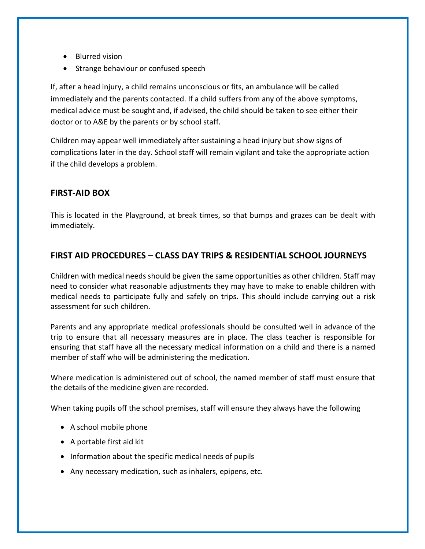- Blurred vision
- Strange behaviour or confused speech

If, after a head injury, a child remains unconscious or fits, an ambulance will be called immediately and the parents contacted. If a child suffers from any of the above symptoms, medical advice must be sought and, if advised, the child should be taken to see either their doctor or to A&E by the parents or by school staff.

Children may appear well immediately after sustaining a head injury but show signs of complications later in the day. School staff will remain vigilant and take the appropriate action if the child develops a problem.

# **FIRST-AID BOX**

This is located in the Playground, at break times, so that bumps and grazes can be dealt with immediately.

# **FIRST AID PROCEDURES – CLASS DAY TRIPS & RESIDENTIAL SCHOOL JOURNEYS**

Children with medical needs should be given the same opportunities as other children. Staff may need to consider what reasonable adjustments they may have to make to enable children with medical needs to participate fully and safely on trips. This should include carrying out a risk assessment for such children.

Parents and any appropriate medical professionals should be consulted well in advance of the trip to ensure that all necessary measures are in place. The class teacher is responsible for ensuring that staff have all the necessary medical information on a child and there is a named member of staff who will be administering the medication.

Where medication is administered out of school, the named member of staff must ensure that the details of the medicine given are recorded.

When taking pupils off the school premises, staff will ensure they always have the following

- A school mobile phone
- A portable first aid kit
- Information about the specific medical needs of pupils
- Any necessary medication, such as inhalers, epipens, etc.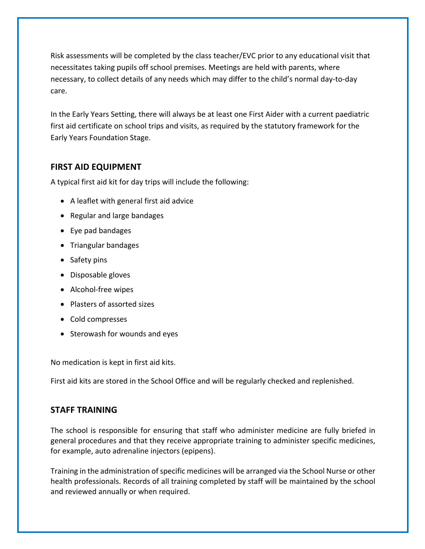Risk assessments will be completed by the class teacher/EVC prior to any educational visit that necessitates taking pupils off school premises. Meetings are held with parents, where necessary, to collect details of any needs which may differ to the child's normal day-to-day care.

In the Early Years Setting, there will always be at least one First Aider with a current paediatric first aid certificate on school trips and visits, as required by the statutory framework for the Early Years Foundation Stage.

### **FIRST AID EQUIPMENT**

A typical first aid kit for day trips will include the following:

- A leaflet with general first aid advice
- Regular and large bandages
- Eye pad bandages
- Triangular bandages
- Safety pins
- Disposable gloves
- Alcohol-free wipes
- Plasters of assorted sizes
- Cold compresses
- Sterowash for wounds and eyes

No medication is kept in first aid kits.

First aid kits are stored in the School Office and will be regularly checked and replenished.

#### **STAFF TRAINING**

The school is responsible for ensuring that staff who administer medicine are fully briefed in general procedures and that they receive appropriate training to administer specific medicines, for example, auto adrenaline injectors (epipens).

Training in the administration of specific medicines will be arranged via the School Nurse or other health professionals. Records of all training completed by staff will be maintained by the school and reviewed annually or when required.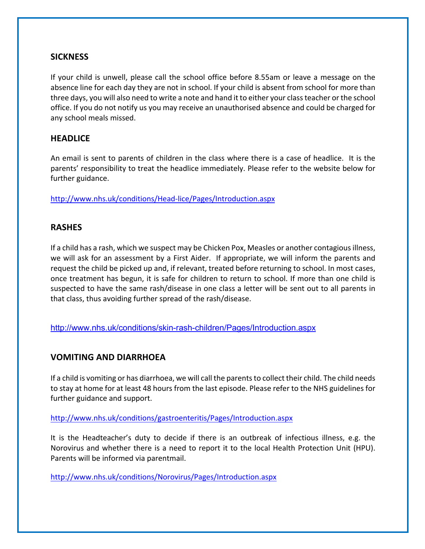#### **SICKNESS**

If your child is unwell, please call the school office before 8.55am or leave a message on the absence line for each day they are not in school. If your child is absent from school for more than three days, you will also need to write a note and hand it to either your class teacher or the school office. If you do not notify us you may receive an unauthorised absence and could be charged for any school meals missed.

### **HEADLICE**

An email is sent to parents of children in the class where there is a case of headlice. It is the parents' responsibility to treat the headlice immediately. Please refer to the website below for further guidance.

http://www.nhs.uk/conditions/Head-lice/Pages/Introduction.aspx

### **RASHES**

If a child has a rash, which we suspect may be Chicken Pox, Measles or another contagious illness, we will ask for an assessment by a First Aider. If appropriate, we will inform the parents and request the child be picked up and, if relevant, treated before returning to school. In most cases, once treatment has begun, it is safe for children to return to school. If more than one child is suspected to have the same rash/disease in one class a letter will be sent out to all parents in that class, thus avoiding further spread of the rash/disease.

http://www.nhs.uk/conditions/skin-rash-children/Pages/Introduction.aspx

# **VOMITING AND DIARRHOEA**

If a child is vomiting or has diarrhoea, we will call the parents to collect their child. The child needs to stay at home for at least 48 hours from the last episode. Please refer to the NHS guidelines for further guidance and support.

http://www.nhs.uk/conditions/gastroenteritis/Pages/Introduction.aspx

It is the Headteacher's duty to decide if there is an outbreak of infectious illness, e.g. the Norovirus and whether there is a need to report it to the local Health Protection Unit (HPU). Parents will be informed via parentmail.

http://www.nhs.uk/conditions/Norovirus/Pages/Introduction.aspx